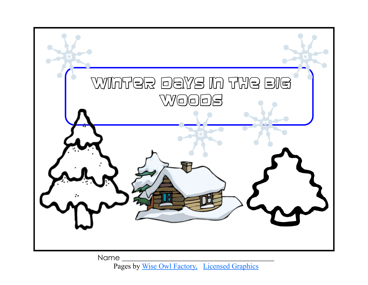

Pages by [Wise Owl Factory,](http://www.thewiseowlfactory.com) [Licensed Graphics](http://www.graphicsfactory.com)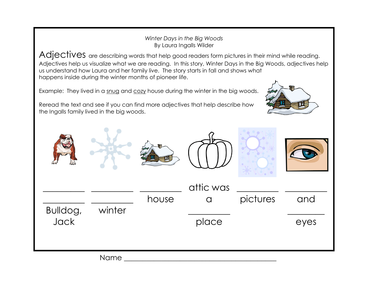## *Winter Days in the Big Woods* By Laura Ingalls Wilder

Adjectives are describing words that help good readers form pictures in their mind while reading. Adjectives help us visualize what we are reading. In this story, Winter Days in the Big Woods, adjectives help us understand how Laura and her family live. The story starts in fall and shows what happens inside during the winter months of pioneer life.

Example: They lived in a snug and cozy house during the winter in the big woods.

Reread the text and see if you can find more adjectives that help describe how the Ingalls family lived in the big woods.

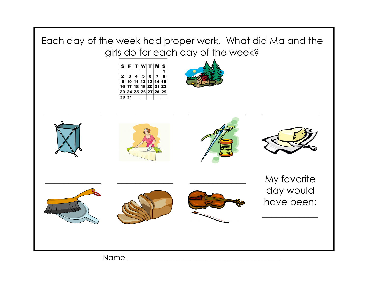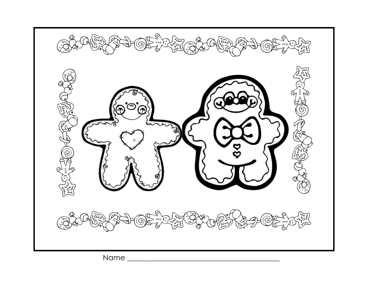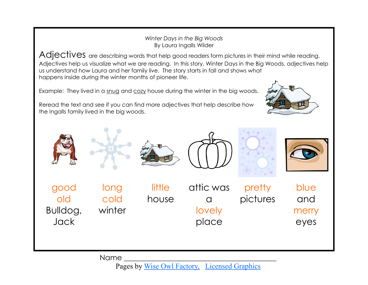## *Winter Days in the Big Woods* By Laura Ingalls Wilder

Adjectives are describing words that help good readers form pictures in their mind while reading. Adjectives help us visualize what we are reading. In this story, Winter Days in the Big Woods, adjectives help us understand how Laura and her family live. The story starts in fall and shows what happens inside during the winter months of pioneer life.

Example: They lived in a snug and cozy house during the winter in the big woods.

Reread the text and see if you can find more adjectives that help describe how the Ingalls family lived in the big woods.



Name

Pages by [Wise Owl Factory,](http://www.thewiseowlfactory.com) [Licensed Graphics](http://www.graphicsfactory.com)